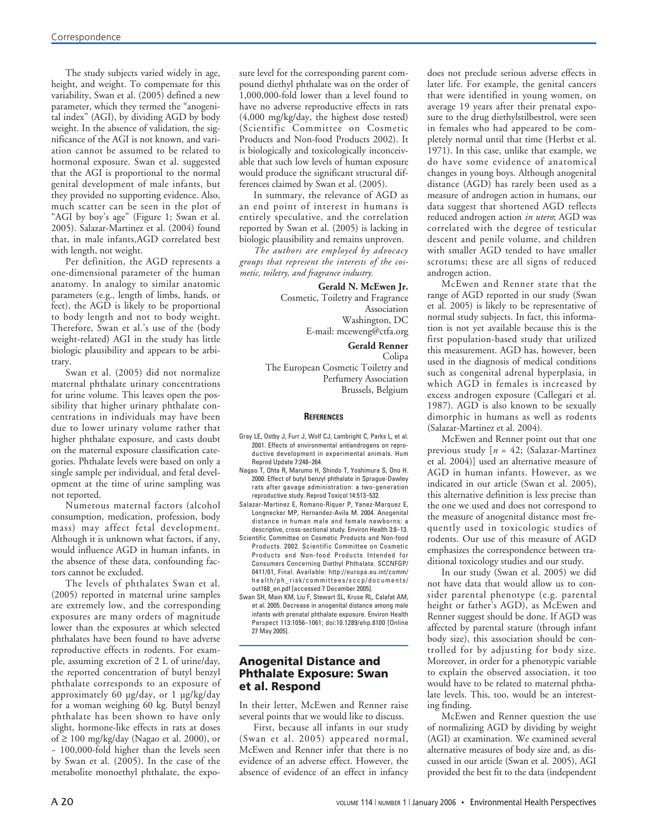The study subjects varied widely in age, height, and weight. To compensate for this variability, Swan et al. (2005) defined a new parameter, which they termed the "anogenital index" (AGI), by dividing AGD by body weight. In the absence of validation, the significance of the AGI is not known, and variation cannot be assumed to be related to hormonal exposure. Swan et al. suggested that the AGI is proportional to the normal genital development of male infants, but they provided no supporting evidence. Also, much scatter can be seen in the plot of "AGI by boy's age" (Figure 1; Swan et al. 2005). Salazar-Martinez et al. (2004) found that, in male infants,AGD correlated best with length, not weight.

Per definition, the AGD represents a one-dimensional parameter of the human anatomy. In analogy to similar anatomic parameters (e.g., length of limbs, hands, or feet), the AGD is likely to be proportional to body length and not to body weight. Therefore, Swan et al.'s use of the (body weight-related) AGI in the study has little biologic plausibility and appears to be arbitrary.

Swan et al. (2005) did not normalize maternal phthalate urinary concentrations for urine volume. This leaves open the possibility that higher urinary phthalate concentrations in individuals may have been due to lower urinary volume rather that higher phthalate exposure, and casts doubt on the maternal exposure classification categories. Phthalate levels were based on only a single sample per individual, and fetal development at the time of urine sampling was not reported.

Numerous maternal factors (alcohol consumption, medication, profession, body mass) may affect fetal development. Although it is unknown what factors, if any, would influence AGD in human infants, in the absence of these data, confounding factors cannot be excluded.

The levels of phthalates Swan et al. (2005) reported in maternal urine samples are extremely low, and the corresponding exposures are many orders of magnitude lower than the exposures at which selected phthalates have been found to have adverse reproductive effects in rodents. For example, assuming excretion of 2 L of urine/day, the reported concentration of butyl benzyl phthalate corresponds to an exposure of approximately 60 µg/day, or 1 µg/kg/day for a woman weighing 60 kg. Butyl benzyl phthalate has been shown to have only slight, hormone-like effects in rats at doses of  $\geq 100$  mg/kg/day (Nagao et al. 2000), or ~ 100,000-fold higher than the levels seen by Swan et al. (2005). In the case of the metabolite monoethyl phthalate, the exposure level for the corresponding parent compound diethyl phthalate was on the order of 1,000,000-fold lower than a level found to have no adverse reproductive effects in rats (4,000 mg/kg/day, the highest dose tested) (Scientific Committee on Cosmetic Products and Non-food Products 2002). It is biologically and toxicologically inconceivable that such low levels of human exposure would produce the significant structural differences claimed by Swan et al. (2005).

In summary, the relevance of AGD as an end point of interest in humans is entirely speculative, and the correlation reported by Swan et al. (2005) is lacking in biologic plausibility and remains unproven.

*The authors are employed by advocacy groups that represent the interests of the cosmetic, toiletry, and fragrance industry.*

**Gerald N. McEwen Jr.**

Cosmetic, Toiletry and Fragrance Association Washington, DC E-mail: mceweng@ctfa.org

**Gerald Renner**

Colipa The European Cosmetic Toiletry and Perfumery Association Brussels, Belgium

## **REFERENCES**

- Gray LE, Ostby J, Furr J, Wolf CJ, Lambright C, Parks L, et al. 2001. Effects of environmental antiandrogens on reproductive development in experimental animals. Hum Reprod Update 7:248–264.
- Nagao T, Ohta R, Marumo H, Shindo T, Yoshimura S, Ono H. 2000. Effect of butyl benzyl phthalate in Sprague-Dawley rats after gavage administration: a two-generation reproductive study. Reprod Toxicol 14:513–532.
- Salazar-Martinez E, Romano-Riquer P, Yanez-Marquez E, Longnecker MP, Hernandez-Avila M. 2004. Anogenital distance in human male and female newborns: a descriptive, cross-sectional study. Environ Health 3:8–13.
- Scientific Committee on Cosmetic Products and Non-food Products. 2002. Scientific Committee on Cosmetic Products and Non-food Products Intended for Consumers Concerning Diethyl Phthalate. SCCNFGP/ 0411/01, Final. Available: http://europa.eu.int/comm/ h e a l th/p h\_risk/c ommittees/sccp/documents/ out168\_en.pdf [accessed 7 December 2005].
- Swan SH, Main KM, Liu F, Stewart SL, Kruse RL, Calafat AM, et al. 2005. Decrease in anogenital distance among male infants with prenatal phthalate exposure. Environ Health Perspect 113:1056–1061; doi:10.1289/ehp.8100 [Online 27 May 2005].

## Anogenital Distance and Phthalate Exposure: Swan et al. Respond

In their letter, McEwen and Renner raise several points that we would like to discuss.

First, because all infants in our study (Swan et al. 2005) appeared normal, McEwen and Renner infer that there is no evidence of an adverse effect. However, the absence of evidence of an effect in infancy does not preclude serious adverse effects in later life. For example, the genital cancers that were identified in young women, on average 19 years after their prenatal exposure to the drug diethylstilbestrol, were seen in females who had appeared to be completely normal until that time (Herbst et al. 1971). In this case, unlike that example, we do have some evidence of anatomical changes in young boys. Although anogenital distance (AGD) has rarely been used as a measure of androgen action in humans, our data suggest that shortened AGD reflects reduced androgen action *in utero*; AGD was correlated with the degree of testicular descent and penile volume, and children with smaller AGD tended to have smaller scrotums; these are all signs of reduced androgen action.

McEwen and Renner state that the range of AGD reported in our study (Swan et al. 2005) is likely to be representative of normal study subjects. In fact, this information is not yet available because this is the first population-based study that utilized this measurement. AGD has, however, been used in the diagnosis of medical conditions such as congenital adrenal hyperplasia, in which AGD in females is increased by excess androgen exposure (Callegari et al. 1987). AGD is also known to be sexually dimorphic in humans as well as rodents (Salazar-Martinez et al. 2004).

McEwen and Renner point out that one previous study [*n* = 42; (Salazar-Martinez et al. 2004)] used an alternative measure of AGD in human infants. However, as we indicated in our article (Swan et al. 2005), this alternative definition is less precise than the one we used and does not correspond to the measure of anogenital distance most frequently used in toxicologic studies of rodents. Our use of this measure of AGD emphasizes the correspondence between traditional toxicology studies and our study.

In our study (Swan et al. 2005) we did not have data that would allow us to consider parental phenotype (e.g. parental height or father's AGD), as McEwen and Renner suggest should be done. If AGD was affected by parental stature (through infant body size), this association should be controlled for by adjusting for body size. Moreover, in order for a phenotypic variable to explain the observed association, it too would have to be related to maternal phthalate levels. This, too, would be an interesting finding.

McEwen and Renner question the use of normalizing AGD by dividing by weight (AGI) at examination. We examined several alternative measures of body size and, as discussed in our article (Swan et al. 2005), AGI provided the best fit to the data (independent